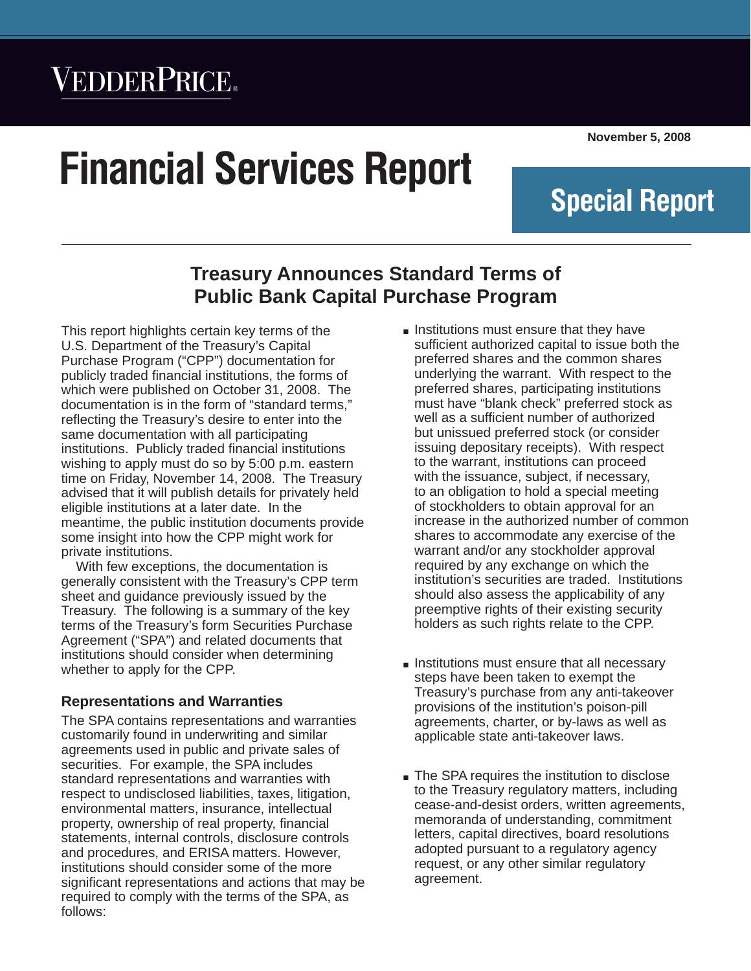# VEDDERPRICE®

# **Financial Services Report**

**November 5, 2008**

**Special Report**

*Financial Services Report* Q *November 5, 2008*

### **Treasury Announces Standard Terms of Public Bank Capital Purchase Program**

This report highlights certain key terms of the U.S. Department of the Treasury's Capital Purchase Program ("CPP") documentation for publicly traded financial institutions, the forms of which were published on October 31, 2008. The documentation is in the form of "standard terms," reflecting the Treasury's desire to enter into the same documentation with all participating institutions. Publicly traded financial institutions wishing to apply must do so by 5:00 p.m. eastern time on Friday, November 14, 2008. The Treasury advised that it will publish details for privately held eligible institutions at a later date. In the meantime, the public institution documents provide some insight into how the CPP might work for private institutions.

With few exceptions, the documentation is generally consistent with the Treasury's CPP term sheet and guidance previously issued by the Treasury. The following is a summary of the key terms of the Treasury's form Securities Purchase Agreement ("SPA") and related documents that institutions should consider when determining whether to apply for the CPP.

#### **Representations and Warranties**

The SPA contains representations and warranties customarily found in underwriting and similar agreements used in public and private sales of securities. For example, the SPA includes standard representations and warranties with respect to undisclosed liabilities, taxes, litigation, environmental matters, insurance, intellectual property, ownership of real property, financial statements, internal controls, disclosure controls and procedures, and ERISA matters. However, institutions should consider some of the more significant representations and actions that may be required to comply with the terms of the SPA, as follows:

- Institutions must ensure that they have sufficient authorized capital to issue both the preferred shares and the common shares underlying the warrant. With respect to the preferred shares, participating institutions must have "blank check" preferred stock as well as a sufficient number of authorized but unissued preferred stock (or consider issuing depositary receipts). With respect to the warrant, institutions can proceed with the issuance, subject, if necessary, to an obligation to hold a special meeting of stockholders to obtain approval for an increase in the authorized number of common shares to accommodate any exercise of the warrant and/or any stockholder approval required by any exchange on which the institution's securities are traded. Institutions should also assess the applicability of any preemptive rights of their existing security holders as such rights relate to the CPP.
- **Institutions must ensure that all necessary** steps have been taken to exempt the Treasury's purchase from any anti-takeover provisions of the institution's poison-pill agreements, charter, or by-laws as well as applicable state anti-takeover laws.
- The SPA requires the institution to disclose to the Treasury regulatory matters, including cease-and-desist orders, written agreements, memoranda of understanding, commitment letters, capital directives, board resolutions adopted pursuant to a regulatory agency request, or any other similar regulatory agreement.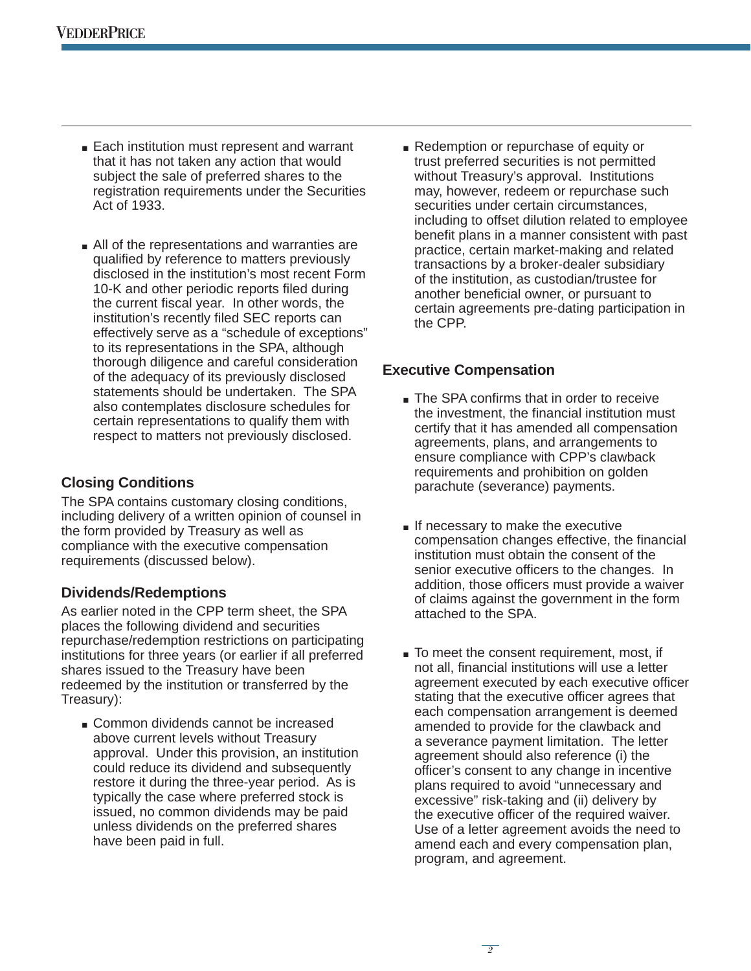- **Each institution must represent and warrant** that it has not taken any action that would subject the sale of preferred shares to the registration requirements under the Securities Act of 1933.
- $\blacksquare$  All of the representations and warranties are qualified by reference to matters previously disclosed in the institution's most recent Form 10-K and other periodic reports filed during the current fiscal year. In other words, the institution's recently filed SEC reports can effectively serve as a "schedule of exceptions" to its representations in the SPA, although thorough diligence and careful consideration of the adequacy of its previously disclosed statements should be undertaken. The SPA also contemplates disclosure schedules for certain representations to qualify them with respect to matters not previously disclosed.

#### **Closing Conditions**

The SPA contains customary closing conditions, including delivery of a written opinion of counsel in the form provided by Treasury as well as compliance with the executive compensation requirements (discussed below).

#### **Dividends/Redemptions**

As earlier noted in the CPP term sheet, the SPA places the following dividend and securities repurchase/redemption restrictions on participating institutions for three years (or earlier if all preferred shares issued to the Treasury have been redeemed by the institution or transferred by the Treasury):

Common dividends cannot be increased above current levels without Treasury approval. Under this provision, an institution could reduce its dividend and subsequently restore it during the three-year period. As is typically the case where preferred stock is issued, no common dividends may be paid unless dividends on the preferred shares have been paid in full.

Redemption or repurchase of equity or trust preferred securities is not permitted without Treasury's approval. Institutions may, however, redeem or repurchase such securities under certain circumstances, including to offset dilution related to employee benefit plans in a manner consistent with past practice, certain market-making and related transactions by a broker-dealer subsidiary of the institution, as custodian/trustee for another beneficial owner, or pursuant to certain agreements pre-dating participation in the CPP.

#### **Executive Compensation**

- The SPA confirms that in order to receive the investment, the financial institution must certify that it has amended all compensation agreements, plans, and arrangements to ensure compliance with CPP's clawback requirements and prohibition on golden parachute (severance) payments.
- $\blacksquare$  If necessary to make the executive compensation changes effective, the financial institution must obtain the consent of the senior executive officers to the changes. In addition, those officers must provide a waiver of claims against the government in the form attached to the SPA.
- To meet the consent requirement, most, if not all, financial institutions will use a letter agreement executed by each executive officer stating that the executive officer agrees that each compensation arrangement is deemed amended to provide for the clawback and a severance payment limitation. The letter agreement should also reference (i) the officer's consent to any change in incentive plans required to avoid "unnecessary and excessive" risk-taking and (ii) delivery by the executive officer of the required waiver. Use of a letter agreement avoids the need to amend each and every compensation plan, program, and agreement.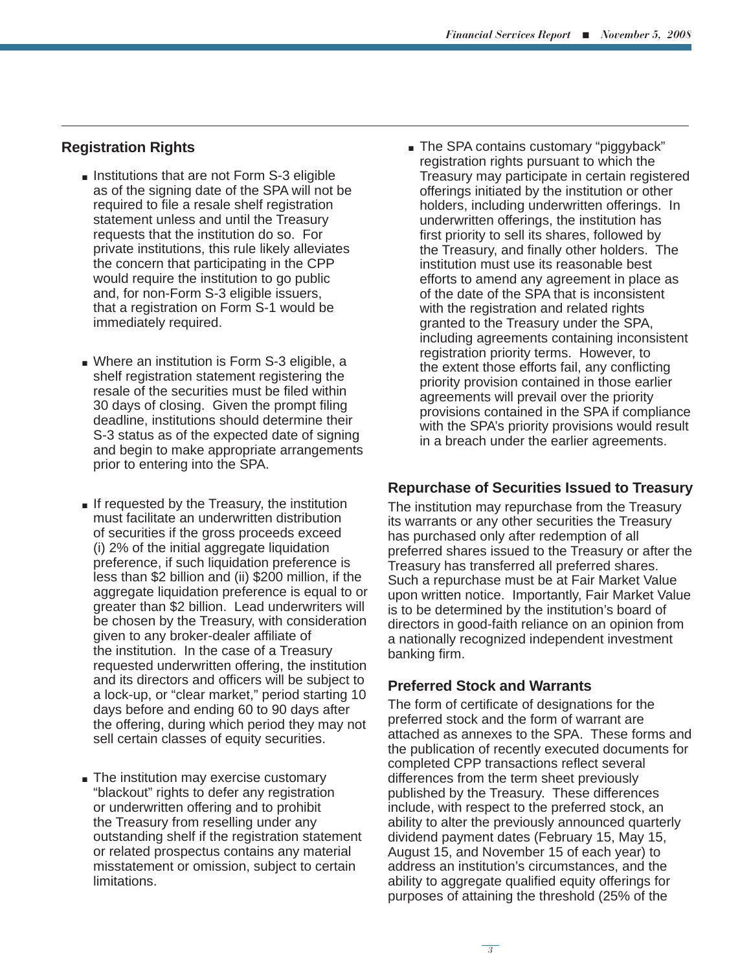#### **Registration Rights**

- **Institutions that are not Form S-3 eligible** as of the signing date of the SPA will not be required to file a resale shelf registration statement unless and until the Treasury requests that the institution do so. For private institutions, this rule likely alleviates the concern that participating in the CPP would require the institution to go public and, for non-Form S-3 eligible issuers, that a registration on Form S-1 would be immediately required.
- Where an institution is Form S-3 eligible, a shelf registration statement registering the resale of the securities must be filed within 30 days of closing. Given the prompt filing deadline, institutions should determine their S-3 status as of the expected date of signing and begin to make appropriate arrangements prior to entering into the SPA.
- If requested by the Treasury, the institution must facilitate an underwritten distribution of securities if the gross proceeds exceed (i) 2% of the initial aggregate liquidation preference, if such liquidation preference is less than \$2 billion and (ii) \$200 million, if the aggregate liquidation preference is equal to or greater than \$2 billion. Lead underwriters will be chosen by the Treasury, with consideration given to any broker-dealer affiliate of the institution. In the case of a Treasury requested underwritten offering, the institution and its directors and officers will be subject to a lock-up, or "clear market," period starting 10 days before and ending 60 to 90 days after the offering, during which period they may not sell certain classes of equity securities.
- The institution may exercise customary "blackout" rights to defer any registration or underwritten offering and to prohibit the Treasury from reselling under any outstanding shelf if the registration statement or related prospectus contains any material misstatement or omission, subject to certain limitations.

The SPA contains customary "piggyback" registration rights pursuant to which the Treasury may participate in certain registered offerings initiated by the institution or other holders, including underwritten offerings. In underwritten offerings, the institution has first priority to sell its shares, followed by the Treasury, and finally other holders. The institution must use its reasonable best efforts to amend any agreement in place as of the date of the SPA that is inconsistent with the registration and related rights granted to the Treasury under the SPA, including agreements containing inconsistent registration priority terms. However, to the extent those efforts fail, any conflicting priority provision contained in those earlier agreements will prevail over the priority provisions contained in the SPA if compliance with the SPA's priority provisions would result in a breach under the earlier agreements.

#### **Repurchase of Securities Issued to Treasury**

The institution may repurchase from the Treasury its warrants or any other securities the Treasury has purchased only after redemption of all preferred shares issued to the Treasury or after the Treasury has transferred all preferred shares. Such a repurchase must be at Fair Market Value upon written notice. Importantly, Fair Market Value is to be determined by the institution's board of directors in good-faith reliance on an opinion from a nationally recognized independent investment banking firm.

#### **Preferred Stock and Warrants**

The form of certificate of designations for the preferred stock and the form of warrant are attached as annexes to the SPA. These forms and the publication of recently executed documents for completed CPP transactions reflect several differences from the term sheet previously published by the Treasury. These differences include, with respect to the preferred stock, an ability to alter the previously announced quarterly dividend payment dates (February 15, May 15, August 15, and November 15 of each year) to address an institution's circumstances, and the ability to aggregate qualified equity offerings for purposes of attaining the threshold (25% of the